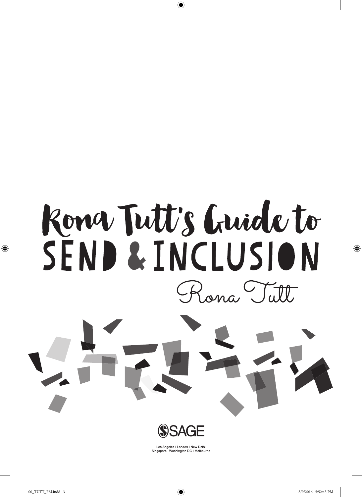

 $\bigoplus$ 



Los Angeles | London | New Delhi<br>Singapore | Washington DC | Melbourne

 $\bigoplus$ 

 $\bigoplus$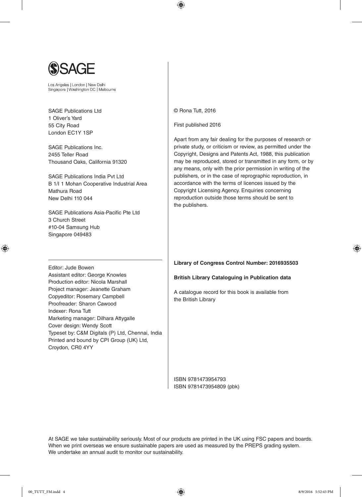

Los Angeles | London | New Delhi Singapore | Washington DC | Melbourne

SAGE Publications Ltd 1 Oliver's Yard 55 City Road London EC1Y 1SP

SAGE Publications Inc. 2455 Teller Road Thousand Oaks, California 91320

SAGE Publications India Pvt Ltd B 1/I 1 Mohan Cooperative Industrial Area Mathura Road New Delhi 110 044

SAGE Publications Asia-Pacific Pte Ltd 3 Church Street #10-04 Samsung Hub Singapore 049483

Assistant editor: George Knowles Production editor: Nicola Marshall Project manager: Jeanette Graham Copyeditor: Rosemary Campbell Proofreader: Sharon Cawood

Marketing manager: Dilhara Attygalle

Typeset by: C&M Digitals (P) Ltd, Chennai, India Printed and bound by CPI Group (UK) Ltd,

Cover design: Wendy Scott

Editor: Jude Bowen

⊕

Indexer: Rona Tutt

Croydon, CR0 4YY

© Rona Tutt, 2016

 $\bigoplus$ 

First published 2016

Apart from any fair dealing for the purposes of research or private study, or criticism or review, as permitted under the Copyright, Designs and Patents Act, 1988, this publication may be reproduced, stored or transmitted in any form, or by any means, only with the prior permission in writing of the publishers, or in the case of reprographic reproduction, in accordance with the terms of licences issued by the Copyright Licensing Agency. Enquiries concerning reproduction outside those terms should be sent to the publishers.

#### **Library of Congress Control Number: 2016935503**

#### **British Library Cataloguing in Publication data**

A catalogue record for this book is available from the British Library

ISBN 9781473954793 ISBN 9781473954809 (pbk)

At SAGE we take sustainability seriously. Most of our products are printed in the UK using FSC papers and boards. When we print overseas we ensure sustainable papers are used as measured by the PREPS grading system. We undertake an annual audit to monitor our sustainability.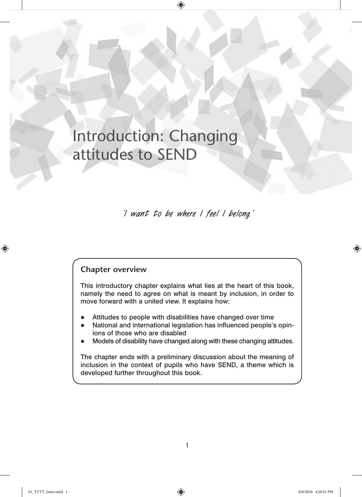# Introduction: Changing attitudes to SEND

**'I want to be where I feel I belong.'**

 $\bigoplus$ 

### **Chapter overview**

This introductory chapter explains what lies at the heart of this book, namely the need to agree on what is meant by inclusion, in order to move forward with a united view. It explains how:

- Attitudes to people with disabilities have changed over time
- National and international legislation has influenced people's opinions of those who are disabled
- Models of disability have changed along with these changing attitudes.

The chapter ends with a preliminary discussion about the meaning of inclusion in the context of pupils who have SEND, a theme which is developed further throughout this book.

⊕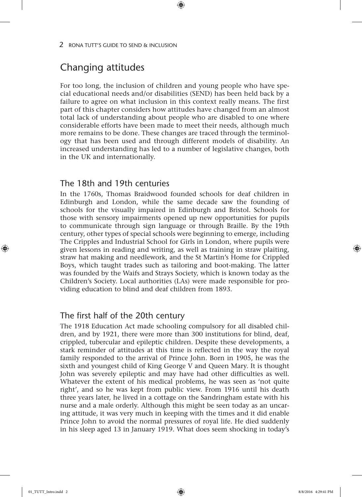# Changing attitudes

For too long, the inclusion of children and young people who have special educational needs and/or disabilities (SEND) has been held back by a failure to agree on what inclusion in this context really means. The first part of this chapter considers how attitudes have changed from an almost total lack of understanding about people who are disabled to one where considerable efforts have been made to meet their needs, although much more remains to be done. These changes are traced through the terminology that has been used and through different models of disability. An increased understanding has led to a number of legislative changes, both in the UK and internationally.

⊕

### The 18th and 19th centuries

In the 1760s, Thomas Braidwood founded schools for deaf children in Edinburgh and London, while the same decade saw the founding of schools for the visually impaired in Edinburgh and Bristol. Schools for those with sensory impairments opened up new opportunities for pupils to communicate through sign language or through Braille. By the 19th century, other types of special schools were beginning to emerge, including The Cripples and Industrial School for Girls in London, where pupils were given lessons in reading and writing, as well as training in straw plaiting, straw hat making and needlework, and the St Martin's Home for Crippled Boys, which taught trades such as tailoring and boot-making. The latter was founded by the Waifs and Strays Society, which is known today as the Children's Society. Local authorities (LAs) were made responsible for providing education to blind and deaf children from 1893.

### The first half of the 20th century

The 1918 Education Act made schooling compulsory for all disabled children, and by 1921, there were more than 300 institutions for blind, deaf, crippled, tubercular and epileptic children. Despite these developments, a stark reminder of attitudes at this time is reflected in the way the royal family responded to the arrival of Prince John. Born in 1905, he was the sixth and youngest child of King George V and Queen Mary. It is thought John was severely epileptic and may have had other difficulties as well. Whatever the extent of his medical problems, he was seen as 'not quite right', and so he was kept from public view. From 1916 until his death three years later, he lived in a cottage on the Sandringham estate with his nurse and a male orderly. Although this might be seen today as an uncaring attitude, it was very much in keeping with the times and it did enable Prince John to avoid the normal pressures of royal life. He died suddenly in his sleep aged 13 in January 1919. What does seem shocking in today's

♠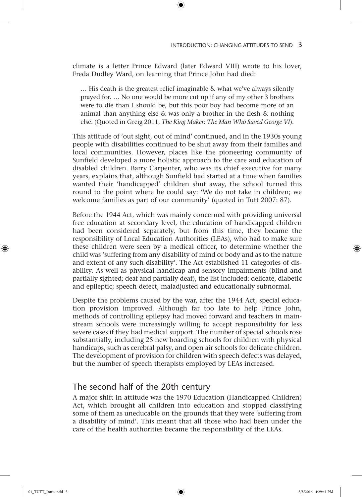climate is a letter Prince Edward (later Edward VIII) wrote to his lover, Freda Dudley Ward, on learning that Prince John had died:

 $\textcircled{\scriptsize{*}}$ 

… His death is the greatest relief imaginable & what we've always silently prayed for. … No one would be more cut up if any of my other 3 brothers were to die than I should be, but this poor boy had become more of an animal than anything else & was only a brother in the flesh & nothing else. (Quoted in Greig 2011, *The King Maker: The Man Who Saved George VI*).

This attitude of 'out sight, out of mind' continued, and in the 1930s young people with disabilities continued to be shut away from their families and local communities. However, places like the pioneering community of Sunfield developed a more holistic approach to the care and education of disabled children. Barry Carpenter, who was its chief executive for many years, explains that, although Sunfield had started at a time when families wanted their 'handicapped' children shut away, the school turned this round to the point where he could say: 'We do not take in children; we welcome families as part of our community' (quoted in Tutt 2007: 87).

Before the 1944 Act, which was mainly concerned with providing universal free education at secondary level, the education of handicapped children had been considered separately, but from this time, they became the responsibility of Local Education Authorities (LEAs), who had to make sure these children were seen by a medical officer, to determine whether the child was 'suffering from any disability of mind or body and as to the nature and extent of any such disability'. The Act established 11 categories of disability. As well as physical handicap and sensory impairments (blind and partially sighted; deaf and partially deaf), the list included: delicate, diabetic and epileptic; speech defect, maladjusted and educationally subnormal.

Despite the problems caused by the war, after the 1944 Act, special education provision improved. Although far too late to help Prince John, methods of controlling epilepsy had moved forward and teachers in mainstream schools were increasingly willing to accept responsibility for less severe cases if they had medical support. The number of special schools rose substantially, including 25 new boarding schools for children with physical handicaps, such as cerebral palsy, and open air schools for delicate children. The development of provision for children with speech defects was delayed, but the number of speech therapists employed by LEAs increased.

### The second half of the 20th century

A major shift in attitude was the 1970 Education (Handicapped Children) Act, which brought all children into education and stopped classifying some of them as uneducable on the grounds that they were 'suffering from a disability of mind'*.* This meant that all those who had been under the care of the health authorities became the responsibility of the LEAs.

♠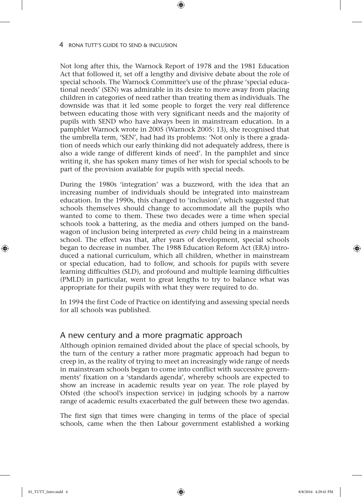Not long after this, the Warnock Report of 1978 and the 1981 Education Act that followed it, set off a lengthy and divisive debate about the role of special schools. The Warnock Committee's use of the phrase 'special educational needs' (SEN) was admirable in its desire to move away from placing children in categories of need rather than treating them as individuals. The downside was that it led some people to forget the very real difference between educating those with very significant needs and the majority of pupils with SEND who have always been in mainstream education. In a pamphlet Warnock wrote in 2005 (Warnock 2005: 13), she recognised that the umbrella term, 'SEN', had had its problems: 'Not only is there a gradation of needs which our early thinking did not adequately address, there is also a wide range of different kinds of need'. In the pamphlet and since writing it, she has spoken many times of her wish for special schools to be part of the provision available for pupils with special needs.

⊕

During the 1980s 'integration' was a buzzword, with the idea that an increasing number of individuals should be integrated into mainstream education. In the 1990s, this changed to 'inclusion', which suggested that schools themselves should change to accommodate all the pupils who wanted to come to them. These two decades were a time when special schools took a battering, as the media and others jumped on the bandwagon of inclusion being interpreted as *every* child being in a mainstream school. The effect was that, after years of development, special schools began to decrease in number. The 1988 Education Reform Act (ERA) introduced a national curriculum, which all children, whether in mainstream or special education, had to follow, and schools for pupils with severe learning difficulties (SLD), and profound and multiple learning difficulties (PMLD) in particular, went to great lengths to try to balance what was appropriate for their pupils with what they were required to do.

In 1994 the first Code of Practice on identifying and assessing special needs for all schools was published.

#### A new century and a more pragmatic approach

Although opinion remained divided about the place of special schools, by the turn of the century a rather more pragmatic approach had begun to creep in, as the reality of trying to meet an increasingly wide range of needs in mainstream schools began to come into conflict with successive governments' fixation on a 'standards agenda', whereby schools are expected to show an increase in academic results year on year. The role played by Ofsted (the school's inspection service) in judging schools by a narrow range of academic results exacerbated the gulf between these two agendas.

The first sign that times were changing in terms of the place of special schools, came when the then Labour government established a working

♠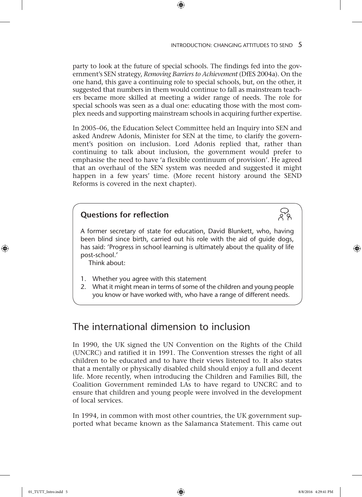#### INTRODUCTION: CHANGING ATTITUDES TO SEND  $5$

party to look at the future of special schools. The findings fed into the government's SEN strategy, *Removing Barriers to Achievement* (DfES 2004a). On the one hand, this gave a continuing role to special schools, but, on the other, it suggested that numbers in them would continue to fall as mainstream teachers became more skilled at meeting a wider range of needs. The role for special schools was seen as a dual one: educating those with the most complex needs and supporting mainstream schools in acquiring further expertise.

 $\textcircled{\scriptsize{*}}$ 

In 2005–06, the Education Select Committee held an Inquiry into SEN and asked Andrew Adonis, Minister for SEN at the time, to clarify the government's position on inclusion. Lord Adonis replied that, rather than continuing to talk about inclusion, the government would prefer to emphasise the need to have 'a flexible continuum of provision'. He agreed that an overhaul of the SEN system was needed and suggested it might happen in a few years' time. (More recent history around the SEND Reforms is covered in the next chapter).

### **Questions for reflection**

A former secretary of state for education, David Blunkett, who, having been blind since birth, carried out his role with the aid of guide dogs, has said: 'Progress in school learning is ultimately about the quality of life post-school.'

Think about:

- 1. Whether you agree with this statement
- 2. What it might mean in terms of some of the children and young people you know or have worked with, who have a range of different needs.

# The international dimension to inclusion

In 1990, the UK signed the UN Convention on the Rights of the Child (UNCRC) and ratified it in 1991. The Convention stresses the right of all children to be educated and to have their views listened to. It also states that a mentally or physically disabled child should enjoy a full and decent life. More recently, when introducing the Children and Families Bill, the Coalition Government reminded LAs to have regard to UNCRC and to ensure that children and young people were involved in the development of local services.

In 1994, in common with most other countries, the UK government supported what became known as the Salamanca Statement. This came out

♠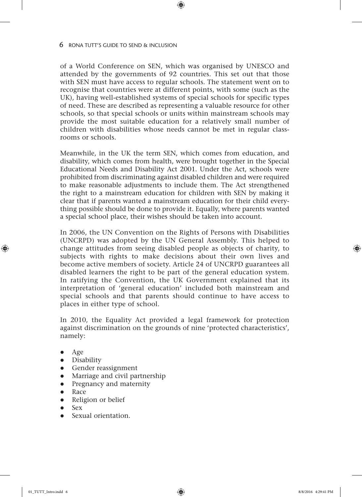of a World Conference on SEN, which was organised by UNESCO and attended by the governments of 92 countries. This set out that those with SEN must have access to regular schools. The statement went on to recognise that countries were at different points, with some (such as the UK), having well-established systems of special schools for specific types of need. These are described as representing a valuable resource for other schools, so that special schools or units within mainstream schools may provide the most suitable education for a relatively small number of children with disabilities whose needs cannot be met in regular classrooms or schools.

 $\textcircled{\scriptsize{*}}$ 

Meanwhile, in the UK the term SEN, which comes from education, and disability, which comes from health, were brought together in the Special Educational Needs and Disability Act 2001. Under the Act, schools were prohibited from discriminating against disabled children and were required to make reasonable adjustments to include them. The Act strengthened the right to a mainstream education for children with SEN by making it clear that if parents wanted a mainstream education for their child everything possible should be done to provide it. Equally, where parents wanted a special school place, their wishes should be taken into account.

In 2006, the UN Convention on the Rights of Persons with Disabilities (UNCRPD) was adopted by the UN General Assembly. This helped to change attitudes from seeing disabled people as objects of charity, to subjects with rights to make decisions about their own lives and become active members of society. Article 24 of UNCRPD guarantees all disabled learners the right to be part of the general education system. In ratifying the Convention, the UK Government explained that its interpretation of 'general education' included both mainstream and special schools and that parents should continue to have access to places in either type of school.

In 2010, the Equality Act provided a legal framework for protection against discrimination on the grounds of nine 'protected characteristics', namely:

Age

♠

- Disability
- Gender reassignment
- Marriage and civil partnership
- Pregnancy and maternity
- Race
- Religion or belief
- $S_{\rm PX}$
- Sexual orientation.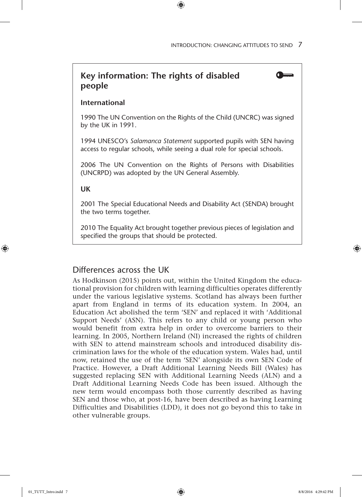## **Key information: The rights of disabled people**

#### **International**

1990 The UN Convention on the Rights of the Child (UNCRC) was signed by the UK in 1991.

 $\textcircled{\scriptsize{*}}$ 

1994 UNESCO's *Salamanca Statement* supported pupils with SEN having access to regular schools, while seeing a dual role for special schools.

2006 The UN Convention on the Rights of Persons with Disabilities (UNCRPD) was adopted by the UN General Assembly.

**UK**

2001 The Special Educational Needs and Disability Act (SENDA) brought the two terms together.

2010 The Equality Act brought together previous pieces of legislation and specified the groups that should be protected.

#### Differences across the UK

As Hodkinson (2015) points out, within the United Kingdom the educational provision for children with learning difficulties operates differently under the various legislative systems. Scotland has always been further apart from England in terms of its education system. In 2004, an Education Act abolished the term 'SEN' and replaced it with 'Additional Support Needs' (ASN). This refers to any child or young person who would benefit from extra help in order to overcome barriers to their learning. In 2005, Northern Ireland (NI) increased the rights of children with SEN to attend mainstream schools and introduced disability discrimination laws for the whole of the education system. Wales had, until now, retained the use of the term 'SEN' alongside its own SEN Code of Practice. However, a Draft Additional Learning Needs Bill (Wales) has suggested replacing SEN with Additional Learning Needs (ALN) and a Draft Additional Learning Needs Code has been issued. Although the new term would encompass both those currently described as having SEN and those who, at post-16, have been described as having Learning Difficulties and Disabilities (LDD), it does not go beyond this to take in other vulnerable groups.

♠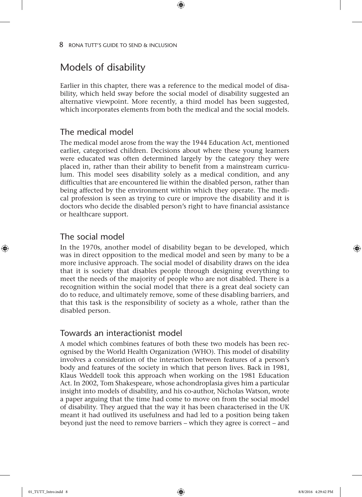# Models of disability

Earlier in this chapter, there was a reference to the medical model of disability, which held sway before the social model of disability suggested an alternative viewpoint. More recently, a third model has been suggested, which incorporates elements from both the medical and the social models.

⊕

### The medical model

The medical model arose from the way the 1944 Education Act, mentioned earlier, categorised children. Decisions about where these young learners were educated was often determined largely by the category they were placed in, rather than their ability to benefit from a mainstream curriculum. This model sees disability solely as a medical condition, and any difficulties that are encountered lie within the disabled person, rather than being affected by the environment within which they operate. The medical profession is seen as trying to cure or improve the disability and it is doctors who decide the disabled person's right to have financial assistance or healthcare support.

### The social model

♠

In the 1970s, another model of disability began to be developed, which was in direct opposition to the medical model and seen by many to be a more inclusive approach. The social model of disability draws on the idea that it is society that disables people through designing everything to meet the needs of the majority of people who are not disabled. There is a recognition within the social model that there is a great deal society can do to reduce, and ultimately remove, some of these disabling barriers, and that this task is the responsibility of society as a whole, rather than the disabled person.

#### Towards an interactionist model

A model which combines features of both these two models has been recognised by the World Health Organization (WHO). This model of disability involves a consideration of the interaction between features of a person's body and features of the society in which that person lives. Back in 1981, Klaus Weddell took this approach when working on the 1981 Education Act. In 2002, Tom Shakespeare, whose achondroplasia gives him a particular insight into models of disability, and his co-author, Nicholas Watson, wrote a paper arguing that the time had come to move on from the social model of disability. They argued that the way it has been characterised in the UK meant it had outlived its usefulness and had led to a position being taken beyond just the need to remove barriers – which they agree is correct – and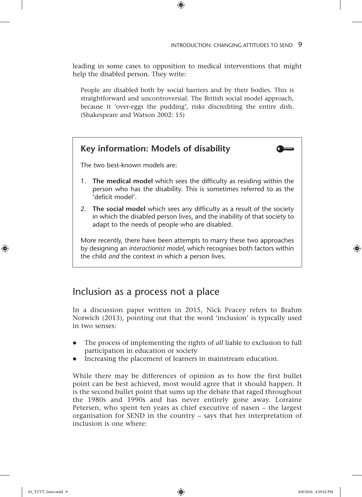leading in some cases to opposition to medical interventions that might help the disabled person. They write:

 $\textcircled{\scriptsize{*}}$ 

People are disabled both by social barriers and by their bodies. This is straightforward and uncontroversial. The British social model approach, because it 'over-eggs the pudding', risks discrediting the entire dish. (Shakespeare and Watson 2002: 15)

# **Key information: Models of disability** The two best-known models are: 1. **The medical model** which sees the difficulty as residing within the person who has the disability. This is sometimes referred to as the 'deficit model'. 2. **The social model** which sees any difficulty as a result of the society in which the disabled person lives, and the inability of that society to adapt to the needs of people who are disabled. More recently, there have been attempts to marry these two approaches by designing an *interactionist model*, which recognises both factors within the child *and* the context in which a person lives.

## Inclusion as a process not a place

In a discussion paper written in 2015, Nick Peacey refers to Brahm Norwich (2013), pointing out that the word 'inclusion' is typically used in two senses:

- The process of implementing the rights of *all* liable to exclusion to full participation in education or society
- Increasing the placement of learners in mainstream education.

While there may be differences of opinion as to how the first bullet point can be best achieved, most would agree that it should happen. It is the second bullet point that sums up the debate that raged throughout the 1980s and 1990s and has never entirely gone away. Lorraine Petersen, who spent ten years as chief executive of nasen – the largest organisation for SEND in the country – says that her interpretation of inclusion is one where:

♠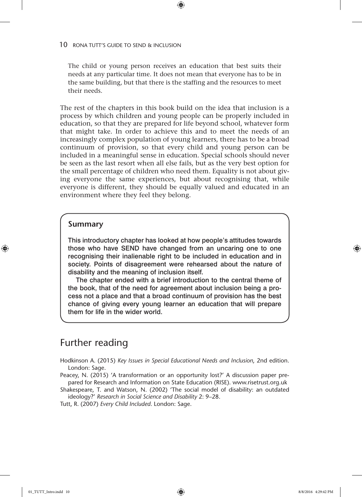The child or young person receives an education that best suits their needs at any particular time. It does not mean that everyone has to be in the same building, but that there is the staffing and the resources to meet their needs.

 $\textcircled{\scriptsize{*}}$ 

The rest of the chapters in this book build on the idea that inclusion is a process by which children and young people can be properly included in education, so that they are prepared for life beyond school, whatever form that might take. In order to achieve this and to meet the needs of an increasingly complex population of young learners, there has to be a broad continuum of provision, so that every child and young person can be included in a meaningful sense in education. Special schools should never be seen as the last resort when all else fails, but as the very best option for the small percentage of children who need them. Equality is not about giving everyone the same experiences, but about recognising that, while everyone is different, they should be equally valued and educated in an environment where they feel they belong.

#### **Summary**

♠

This introductory chapter has looked at how people's attitudes towards those who have SEND have changed from an uncaring one to one recognising their inalienable right to be included in education and in society. Points of disagreement were rehearsed about the nature of disability and the meaning of inclusion itself.

The chapter ended with a brief introduction to the central theme of the book, that of the need for agreement about inclusion being a process not a place and that a broad continuum of provision has the best chance of giving every young learner an education that will prepare them for life in the wider world.

# Further reading

- Hodkinson A. (2015) *Key Issues in Special Educational Needs and Inclusion*, 2nd edition. London: Sage.
- Peacey, N. (2015) 'A transformation or an opportunity lost?' A discussion paper prepared for Research and Information on State Education (RISE). www.risetrust.org.uk

Shakespeare, T. and Watson, N. (2002) 'The social model of disability: an outdated ideology?' *Research in Social Science and Disability* 2: 9–28.

Tutt, R. (2007) *Every Child Included*. London: Sage.